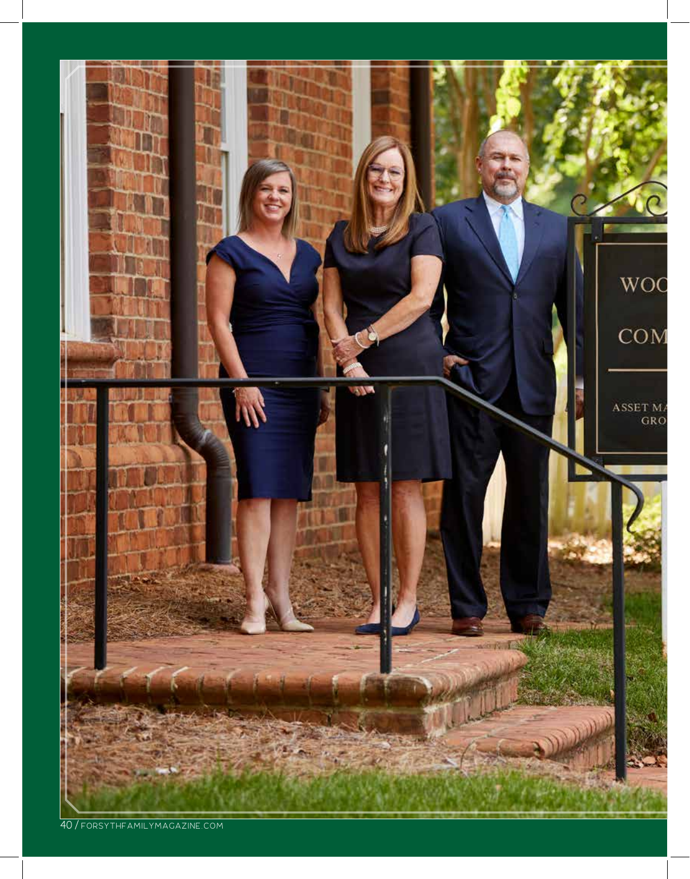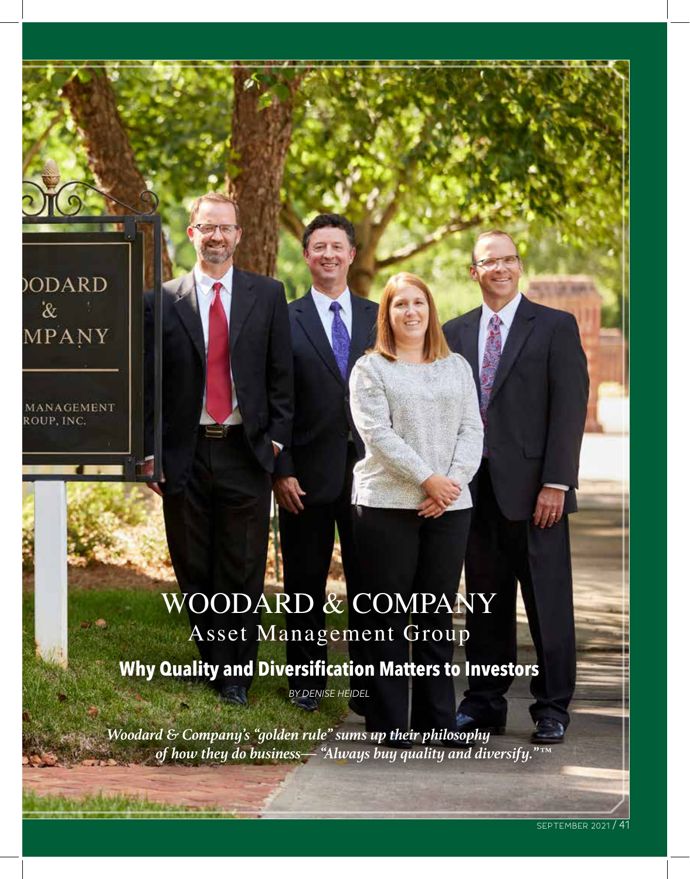**ODARD**  $\alpha$ **APANY** 

**IANAGEMENT** OUP, INC.

## WOODARD & COMPANY Asset Management Group

**Why Quality and Diversification Matters to Investors**

*BY DENISE HEIDEL*

*Woodard & Company's "golden rule" sums up their philosophy of how they do business— "Always buy quality and diversify." ™*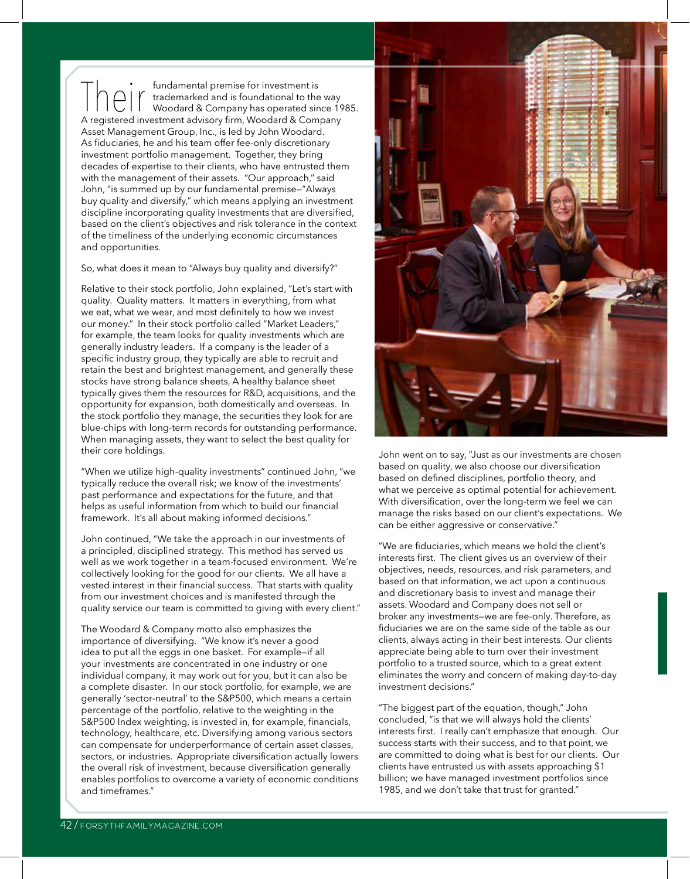fundamental premise for investment is trademarked and is foundational to the way Woodard & Company has operated since 1985. A registered investment advisory firm, Woodard & Company Asset Management Group, Inc., is led by John Woodard. As fiduciaries, he and his team offer fee-only discretionary investment portfolio management. Together, they bring decades of expertise to their clients, who have entrusted them with the management of their assets. "Our approach," said John, "is summed up by our fundamental premise—"Always buy quality and diversify," which means applying an investment discipline incorporating quality investments that are diversified, based on the client's objectives and risk tolerance in the context of the timeliness of the underlying economic circumstances and opportunities.

So, what does it mean to "Always buy quality and diversify?"

Relative to their stock portfolio, John explained, "Let's start with quality. Quality matters. It matters in everything, from what we eat, what we wear, and most definitely to how we invest our money." In their stock portfolio called "Market Leaders," for example, the team looks for quality investments which are generally industry leaders. If a company is the leader of a specific industry group, they typically are able to recruit and retain the best and brightest management, and generally these stocks have strong balance sheets, A healthy balance sheet typically gives them the resources for R&D, acquisitions, and the opportunity for expansion, both domestically and overseas. In the stock portfolio they manage, the securities they look for are blue-chips with long-term records for outstanding performance. When managing assets, they want to select the best quality for their core holdings.

"When we utilize high-quality investments" continued John, "we typically reduce the overall risk; we know of the investments' past performance and expectations for the future, and that helps as useful information from which to build our financial framework. It's all about making informed decisions."

John continued, "We take the approach in our investments of a principled, disciplined strategy. This method has served us well as we work together in a team-focused environment. We're collectively looking for the good for our clients. We all have a vested interest in their financial success. That starts with quality from our investment choices and is manifested through the quality service our team is committed to giving with every client."

The Woodard & Company motto also emphasizes the importance of diversifying. "We know it's never a good idea to put all the eggs in one basket. For example—if all your investments are concentrated in one industry or one individual company, it may work out for you, but it can also be a complete disaster. In our stock portfolio, for example, we are generally 'sector-neutral' to the S&P500, which means a certain percentage of the portfolio, relative to the weighting in the S&P500 Index weighting, is invested in, for example, financials, technology, healthcare, etc. Diversifying among various sectors can compensate for underperformance of certain asset classes, sectors, or industries. Appropriate diversification actually lowers the overall risk of investment, because diversification generally enables portfolios to overcome a variety of economic conditions and timeframes."



John went on to say, "Just as our investments are chosen based on quality, we also choose our diversification based on defined disciplines, portfolio theory, and what we perceive as optimal potential for achievement. With diversification, over the long-term we feel we can manage the risks based on our client's expectations. We can be either aggressive or conservative."

"We are fiduciaries, which means we hold the client's interests first. The client gives us an overview of their objectives, needs, resources, and risk parameters, and based on that information, we act upon a continuous and discretionary basis to invest and manage their assets. Woodard and Company does not sell or broker any investments—we are fee-only. Therefore, as fiduciaries we are on the same side of the table as our clients, always acting in their best interests. Our clients appreciate being able to turn over their investment portfolio to a trusted source, which to a great extent eliminates the worry and concern of making day-to-day investment decisions."

"The biggest part of the equation, though," John concluded, "is that we will always hold the clients' interests first. I really can't emphasize that enough. Our success starts with their success, and to that point, we are committed to doing what is best for our clients. Our clients have entrusted us with assets approaching \$1 billion; we have managed investment portfolios since 1985, and we don't take that trust for granted."